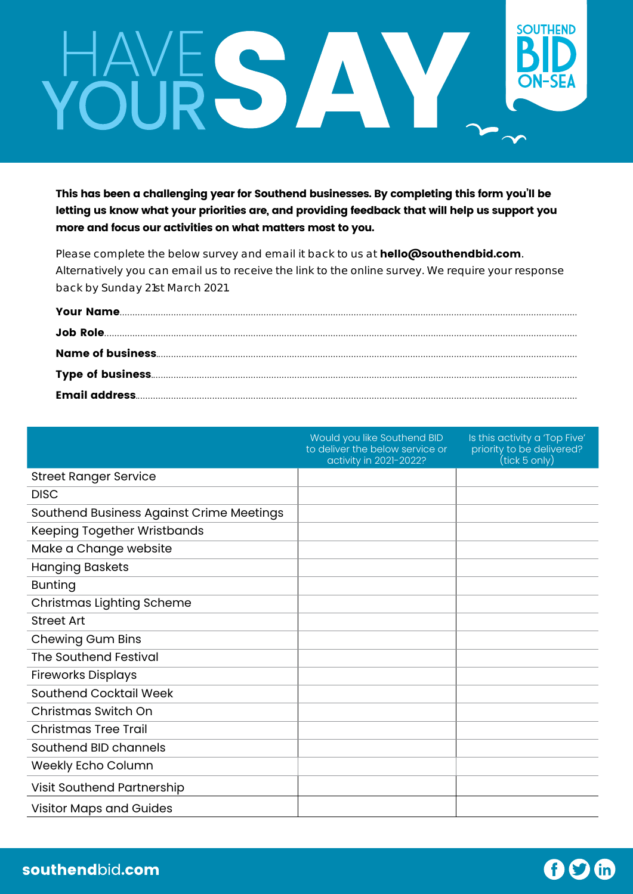## **SOUTHEND** HAVE S AV

This has been a challenging year for Southend businesses. By completing this form you'll be letting us know what your priorities are, and providing feedback that will help us support you more and focus our activities on what matters most to you.

Please complete the below survey and email it back to us at hello@southendbid.com. Alternatively you can email us to receive the link to the online survey. We require your response back by Sunday 21st March 2021.

|                                          | Would you like Southend BID<br>to deliver the below service or<br>activity in 2021-2022? | Is this activity a 'Top Five'<br>priority to be delivered?<br>(tick 5 only) |
|------------------------------------------|------------------------------------------------------------------------------------------|-----------------------------------------------------------------------------|
| <b>Street Ranger Service</b>             |                                                                                          |                                                                             |
| <b>DISC</b>                              |                                                                                          |                                                                             |
| Southend Business Against Crime Meetings |                                                                                          |                                                                             |
| Keeping Together Wristbands              |                                                                                          |                                                                             |
| Make a Change website                    |                                                                                          |                                                                             |
| <b>Hanging Baskets</b>                   |                                                                                          |                                                                             |
| <b>Bunting</b>                           |                                                                                          |                                                                             |
| Christmas Lighting Scheme                |                                                                                          |                                                                             |
| <b>Street Art</b>                        |                                                                                          |                                                                             |
| <b>Chewing Gum Bins</b>                  |                                                                                          |                                                                             |
| <b>The Southend Festival</b>             |                                                                                          |                                                                             |
| <b>Fireworks Displays</b>                |                                                                                          |                                                                             |
| <b>Southend Cocktail Week</b>            |                                                                                          |                                                                             |
| Christmas Switch On                      |                                                                                          |                                                                             |
| <b>Christmas Tree Trail</b>              |                                                                                          |                                                                             |
| Southend BID channels                    |                                                                                          |                                                                             |
| Weekly Echo Column                       |                                                                                          |                                                                             |
| Visit Southend Partnership               |                                                                                          |                                                                             |
| <b>Visitor Maps and Guides</b>           |                                                                                          |                                                                             |

 $f$  $f$  $f$  $i$  $n$